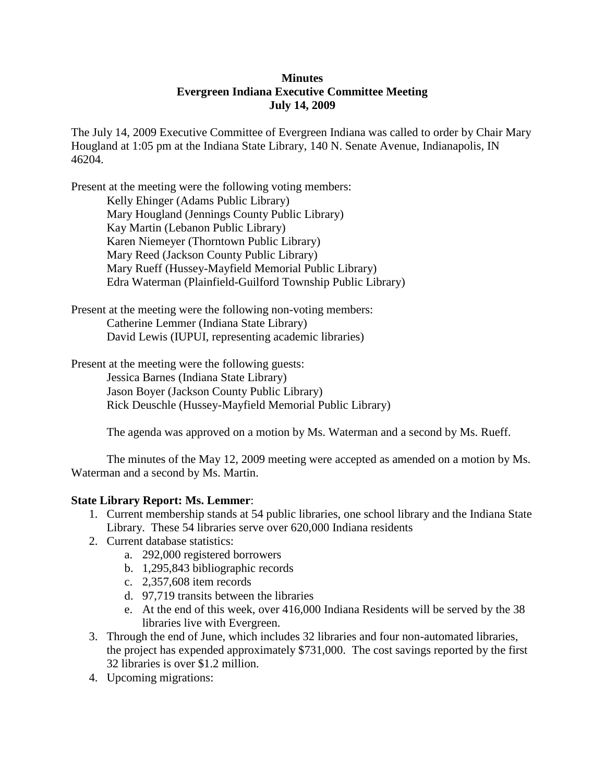### **Minutes Evergreen Indiana Executive Committee Meeting July 14, 2009**

The July 14, 2009 Executive Committee of Evergreen Indiana was called to order by Chair Mary Hougland at 1:05 pm at the Indiana State Library, 140 N. Senate Avenue, Indianapolis, IN 46204.

Present at the meeting were the following voting members: Kelly Ehinger (Adams Public Library) Mary Hougland (Jennings County Public Library) Kay Martin (Lebanon Public Library) Karen Niemeyer (Thorntown Public Library) Mary Reed (Jackson County Public Library) Mary Rueff (Hussey-Mayfield Memorial Public Library) Edra Waterman (Plainfield-Guilford Township Public Library)

Present at the meeting were the following non-voting members: Catherine Lemmer (Indiana State Library) David Lewis (IUPUI, representing academic libraries)

Present at the meeting were the following guests: Jessica Barnes (Indiana State Library) Jason Boyer (Jackson County Public Library) Rick Deuschle (Hussey-Mayfield Memorial Public Library)

The agenda was approved on a motion by Ms. Waterman and a second by Ms. Rueff.

The minutes of the May 12, 2009 meeting were accepted as amended on a motion by Ms. Waterman and a second by Ms. Martin.

### **State Library Report: Ms. Lemmer**:

- 1. Current membership stands at 54 public libraries, one school library and the Indiana State Library. These 54 libraries serve over 620,000 Indiana residents
- 2. Current database statistics:
	- a. 292,000 registered borrowers
	- b. 1,295,843 bibliographic records
	- c. 2,357,608 item records
	- d. 97,719 transits between the libraries
	- e. At the end of this week, over 416,000 Indiana Residents will be served by the 38 libraries live with Evergreen.
- 3. Through the end of June, which includes 32 libraries and four non-automated libraries, the project has expended approximately \$731,000. The cost savings reported by the first 32 libraries is over \$1.2 million.
- 4. Upcoming migrations: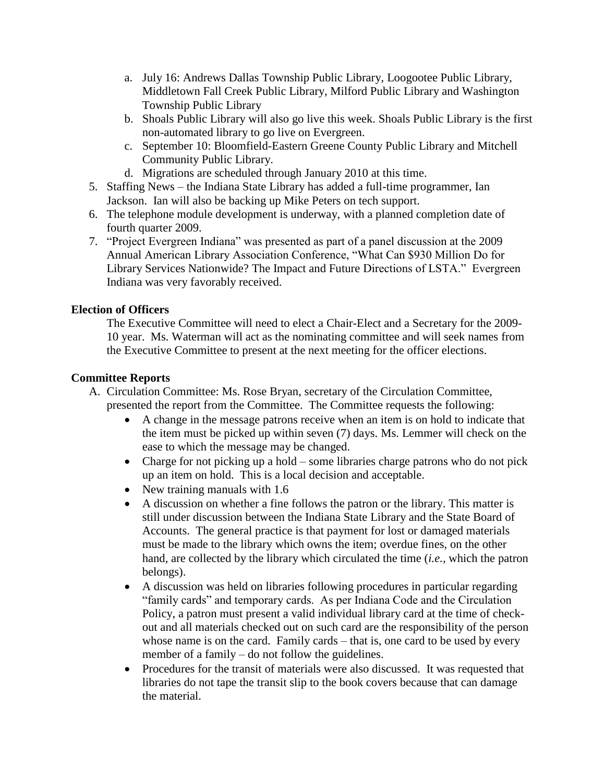- a. July 16: Andrews Dallas Township Public Library, Loogootee Public Library, Middletown Fall Creek Public Library, Milford Public Library and Washington Township Public Library
- b. Shoals Public Library will also go live this week. Shoals Public Library is the first non-automated library to go live on Evergreen.
- c. September 10: Bloomfield-Eastern Greene County Public Library and Mitchell Community Public Library.
- d. Migrations are scheduled through January 2010 at this time.
- 5. Staffing News the Indiana State Library has added a full-time programmer, Ian Jackson. Ian will also be backing up Mike Peters on tech support.
- 6. The telephone module development is underway, with a planned completion date of fourth quarter 2009.
- 7. "Project Evergreen Indiana" was presented as part of a panel discussion at the 2009 Annual American Library Association Conference, "What Can \$930 Million Do for Library Services Nationwide? The Impact and Future Directions of LSTA." Evergreen Indiana was very favorably received.

# **Election of Officers**

The Executive Committee will need to elect a Chair-Elect and a Secretary for the 2009- 10 year. Ms. Waterman will act as the nominating committee and will seek names from the Executive Committee to present at the next meeting for the officer elections.

# **Committee Reports**

- A. Circulation Committee: Ms. Rose Bryan, secretary of the Circulation Committee, presented the report from the Committee. The Committee requests the following:
	- A change in the message patrons receive when an item is on hold to indicate that the item must be picked up within seven (7) days. Ms. Lemmer will check on the ease to which the message may be changed.
	- Charge for not picking up a hold some libraries charge patrons who do not pick up an item on hold. This is a local decision and acceptable.
	- New training manuals with 1.6
	- A discussion on whether a fine follows the patron or the library. This matter is still under discussion between the Indiana State Library and the State Board of Accounts. The general practice is that payment for lost or damaged materials must be made to the library which owns the item; overdue fines, on the other hand, are collected by the library which circulated the time (*i.e.,* which the patron belongs).
	- A discussion was held on libraries following procedures in particular regarding "family cards" and temporary cards. As per Indiana Code and the Circulation Policy, a patron must present a valid individual library card at the time of checkout and all materials checked out on such card are the responsibility of the person whose name is on the card. Family cards – that is, one card to be used by every member of a family – do not follow the guidelines.
	- Procedures for the transit of materials were also discussed. It was requested that libraries do not tape the transit slip to the book covers because that can damage the material.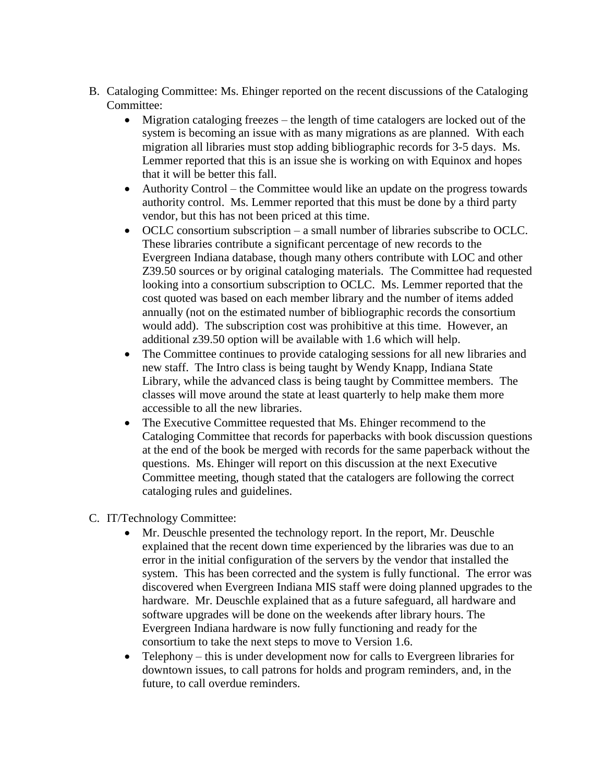- B. Cataloging Committee: Ms. Ehinger reported on the recent discussions of the Cataloging Committee:
	- Migration cataloging freezes the length of time catalogers are locked out of the system is becoming an issue with as many migrations as are planned. With each migration all libraries must stop adding bibliographic records for 3-5 days. Ms. Lemmer reported that this is an issue she is working on with Equinox and hopes that it will be better this fall.
	- Authority Control the Committee would like an update on the progress towards authority control. Ms. Lemmer reported that this must be done by a third party vendor, but this has not been priced at this time.
	- OCLC consortium subscription a small number of libraries subscribe to OCLC. These libraries contribute a significant percentage of new records to the Evergreen Indiana database, though many others contribute with LOC and other Z39.50 sources or by original cataloging materials. The Committee had requested looking into a consortium subscription to OCLC. Ms. Lemmer reported that the cost quoted was based on each member library and the number of items added annually (not on the estimated number of bibliographic records the consortium would add). The subscription cost was prohibitive at this time. However, an additional z39.50 option will be available with 1.6 which will help.
	- The Committee continues to provide cataloging sessions for all new libraries and new staff. The Intro class is being taught by Wendy Knapp, Indiana State Library, while the advanced class is being taught by Committee members. The classes will move around the state at least quarterly to help make them more accessible to all the new libraries.
	- The Executive Committee requested that Ms. Ehinger recommend to the Cataloging Committee that records for paperbacks with book discussion questions at the end of the book be merged with records for the same paperback without the questions. Ms. Ehinger will report on this discussion at the next Executive Committee meeting, though stated that the catalogers are following the correct cataloging rules and guidelines.
- C. IT/Technology Committee:
	- Mr. Deuschle presented the technology report. In the report, Mr. Deuschle explained that the recent down time experienced by the libraries was due to an error in the initial configuration of the servers by the vendor that installed the system. This has been corrected and the system is fully functional. The error was discovered when Evergreen Indiana MIS staff were doing planned upgrades to the hardware. Mr. Deuschle explained that as a future safeguard, all hardware and software upgrades will be done on the weekends after library hours. The Evergreen Indiana hardware is now fully functioning and ready for the consortium to take the next steps to move to Version 1.6.
	- Telephony this is under development now for calls to Evergreen libraries for downtown issues, to call patrons for holds and program reminders, and, in the future, to call overdue reminders.